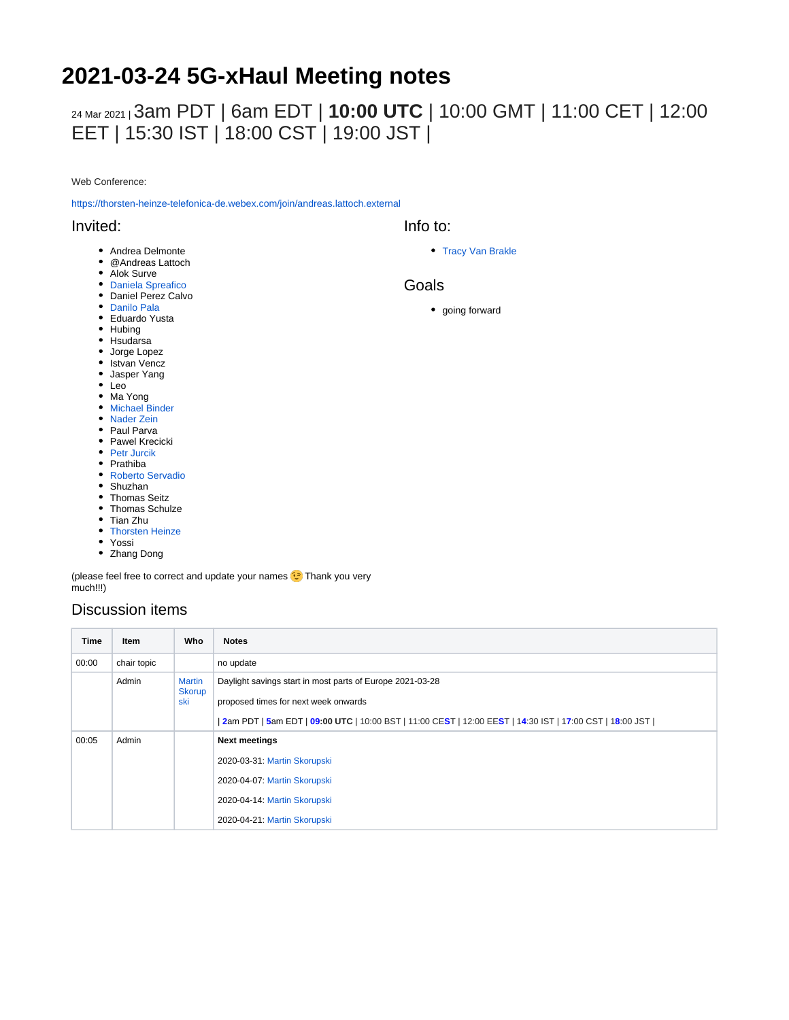# **2021-03-24 5G-xHaul Meeting notes**

## 24 Mar 2021 <sup>|</sup>3am PDT | 6am EDT | **10:00 UTC** | 10:00 GMT | 11:00 CET | 12:00 EET | 15:30 IST | 18:00 CST | 19:00 JST |

Web Conference:

<https://thorsten-heinze-telefonica-de.webex.com/join/andreas.lattoch.external>

### Invited:

- Andrea Delmonte
- @Andreas Lattoch
- Alok Surve
- [Daniela Spreafico](https://wiki.opennetworking.org/display/~spreafico.daniela)
- Daniel Perez Calvo
- [Danilo Pala](https://wiki.opennetworking.org/display/~danilo.pala)
- Eduardo Yusta
- Hubing
- Hsudarsa
- Jorge Lopez
- Istvan Vencz
- Jasper Yang
- Leo
- Ma Yong
- [Michael Binder](https://wiki.opennetworking.org/display/~michael.binder)
- [Nader Zein](https://wiki.opennetworking.org/display/~nader.zein)
- Paul Parva • Pawel Krecicki
- [Petr Jurcik](https://wiki.opennetworking.org/display/~petr.jurcik)
- Prathiba
- [Roberto Servadio](https://wiki.opennetworking.org/display/~roberto.servadio)
- Shuzhan
- Thomas Seitz
- Thomas Schulze
- Tian Zhu
- [Thorsten Heinze](https://wiki.opennetworking.org/display/~thorsten.heinze)
- Yossi
- Zhang Dong

(please feel free to correct and update your names **C** Thank you very much!!!)

### Discussion items

| <b>Time</b> | <b>Item</b> | Who                                   | <b>Notes</b>                                                                                                                                                                                                   |
|-------------|-------------|---------------------------------------|----------------------------------------------------------------------------------------------------------------------------------------------------------------------------------------------------------------|
| 00:00       | chair topic |                                       | no update                                                                                                                                                                                                      |
|             | Admin       | <b>Martin</b><br><b>Skorup</b><br>ski | Daylight savings start in most parts of Europe 2021-03-28<br>proposed times for next week onwards<br>  2am PDT   5am EDT   09:00 UTC   10:00 BST   11:00 CEST   12:00 EEST   14:30 IST   17:00 CST   18:00 JST |
| 00:05       | Admin       |                                       | <b>Next meetings</b>                                                                                                                                                                                           |
|             |             |                                       | 2020-03-31: Martin Skorupski                                                                                                                                                                                   |
|             |             |                                       | 2020-04-07: Martin Skorupski                                                                                                                                                                                   |
|             |             |                                       | 2020-04-14: Martin Skorupski                                                                                                                                                                                   |
|             |             |                                       | 2020-04-21: Martin Skorupski                                                                                                                                                                                   |

• [Tracy Van Brakle](https://wiki.opennetworking.org/display/~tracyvb)

#### Goals

Info to:

• going forward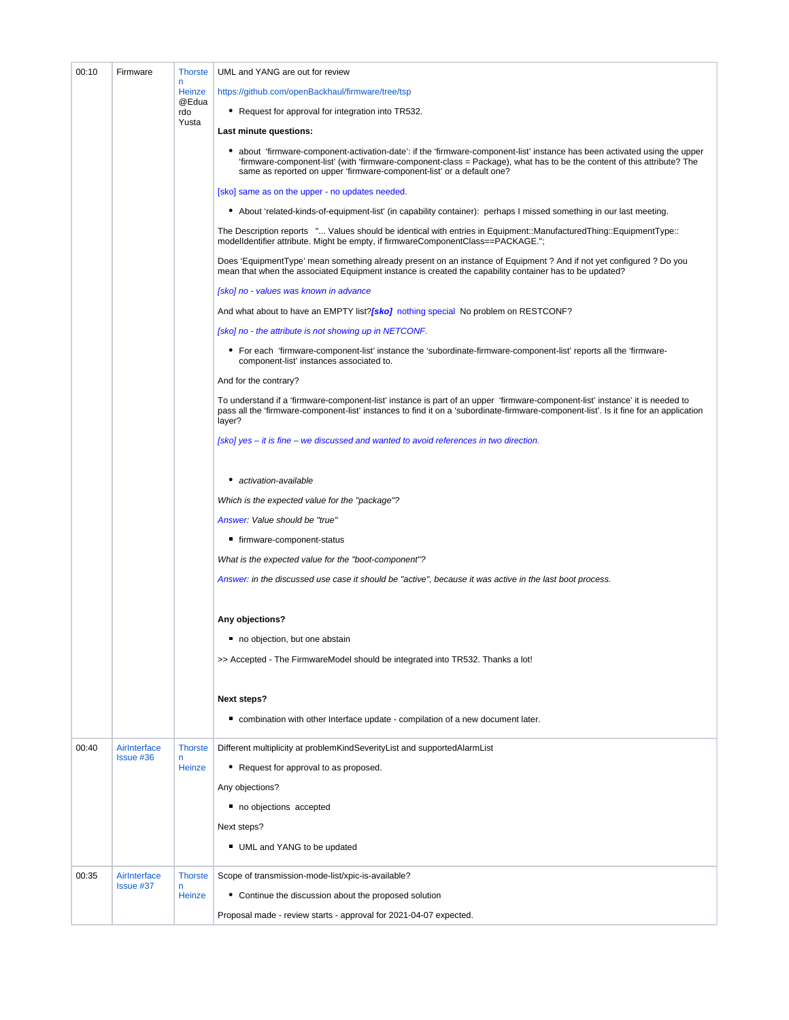| 00:10 | Firmware                         | <b>Thorste</b>        | UML and YANG are out for review                                                                                                                                                                                                                                                                                                |
|-------|----------------------------------|-----------------------|--------------------------------------------------------------------------------------------------------------------------------------------------------------------------------------------------------------------------------------------------------------------------------------------------------------------------------|
|       |                                  | n<br><b>Heinze</b>    | https://github.com/openBackhaul/firmware/tree/tsp                                                                                                                                                                                                                                                                              |
|       |                                  | @Edua<br>rdo<br>Yusta | • Request for approval for integration into TR532.                                                                                                                                                                                                                                                                             |
|       |                                  |                       | Last minute questions:                                                                                                                                                                                                                                                                                                         |
|       |                                  |                       | • about 'firmware-component-activation-date': if the 'firmware-component-list' instance has been activated using the upper<br>'firmware-component-list' (with 'firmware-component-class = Package), what has to be the content of this attribute? The<br>same as reported on upper 'firmware-component-list' or a default one? |
|       |                                  |                       | [sko] same as on the upper - no updates needed.                                                                                                                                                                                                                                                                                |
|       |                                  |                       | • About 'related-kinds-of-equipment-list' (in capability container): perhaps I missed something in our last meeting.                                                                                                                                                                                                           |
|       |                                  |                       | The Description reports " Values should be identical with entries in Equipment::ManufacturedThing::EquipmentType::<br>modelldentifier attribute. Might be empty, if firmwareComponentClass==PACKAGE.";                                                                                                                         |
|       |                                  |                       | Does 'EquipmentType' mean something already present on an instance of Equipment ? And if not yet configured ? Do you<br>mean that when the associated Equipment instance is created the capability container has to be updated?                                                                                                |
|       |                                  |                       | [sko] no - values was known in advance                                                                                                                                                                                                                                                                                         |
|       |                                  |                       | And what about to have an EMPTY list?[sko] nothing special No problem on RESTCONF?                                                                                                                                                                                                                                             |
|       |                                  |                       | [sko] no - the attribute is not showing up in NETCONF.                                                                                                                                                                                                                                                                         |
|       |                                  |                       | • For each 'firmware-component-list' instance the 'subordinate-firmware-component-list' reports all the 'firmware-<br>component-list' instances associated to.                                                                                                                                                                 |
|       |                                  |                       | And for the contrary?                                                                                                                                                                                                                                                                                                          |
|       |                                  |                       | To understand if a 'firmware-component-list' instance is part of an upper 'firmware-component-list' instance' it is needed to<br>pass all the 'firmware-component-list' instances to find it on a 'subordinate-firmware-component-list'. Is it fine for an application<br>layer?                                               |
|       |                                  |                       | [sko] yes – it is fine – we discussed and wanted to avoid references in two direction.                                                                                                                                                                                                                                         |
|       |                                  |                       | • activation-available                                                                                                                                                                                                                                                                                                         |
|       |                                  |                       | Which is the expected value for the "package"?                                                                                                                                                                                                                                                                                 |
|       |                                  |                       | Answer: Value should be "true"                                                                                                                                                                                                                                                                                                 |
|       |                                  |                       | ■ firmware-component-status                                                                                                                                                                                                                                                                                                    |
|       |                                  |                       | What is the expected value for the "boot-component"?                                                                                                                                                                                                                                                                           |
|       |                                  |                       | Answer: in the discussed use case it should be "active", because it was active in the last boot process.                                                                                                                                                                                                                       |
|       |                                  |                       | Any objections?                                                                                                                                                                                                                                                                                                                |
|       |                                  |                       | no objection, but one abstain                                                                                                                                                                                                                                                                                                  |
|       |                                  |                       | >> Accepted - The FirmwareModel should be integrated into TR532. Thanks a lot!                                                                                                                                                                                                                                                 |
|       |                                  |                       | <b>Next steps?</b>                                                                                                                                                                                                                                                                                                             |
|       |                                  |                       | ■ combination with other Interface update - compilation of a new document later.                                                                                                                                                                                                                                               |
| 00:40 | AirInterface<br><b>Issue #36</b> | <b>Thorste</b>        | Different multiplicity at problem Kind Severity List and supported Alarm List                                                                                                                                                                                                                                                  |
|       |                                  | n<br>Heinze           | • Request for approval to as proposed.                                                                                                                                                                                                                                                                                         |
|       |                                  |                       | Any objections?                                                                                                                                                                                                                                                                                                                |
|       |                                  |                       | no objections accepted                                                                                                                                                                                                                                                                                                         |
|       |                                  |                       | Next steps?                                                                                                                                                                                                                                                                                                                    |
|       |                                  |                       | UML and YANG to be updated                                                                                                                                                                                                                                                                                                     |
| 00:35 | AirInterface                     | <b>Thorste</b><br>n   | Scope of transmission-mode-list/xpic-is-available?                                                                                                                                                                                                                                                                             |
|       | <b>Issue #37</b>                 | <b>Heinze</b>         | • Continue the discussion about the proposed solution                                                                                                                                                                                                                                                                          |
|       |                                  |                       | Proposal made - review starts - approval for 2021-04-07 expected.                                                                                                                                                                                                                                                              |